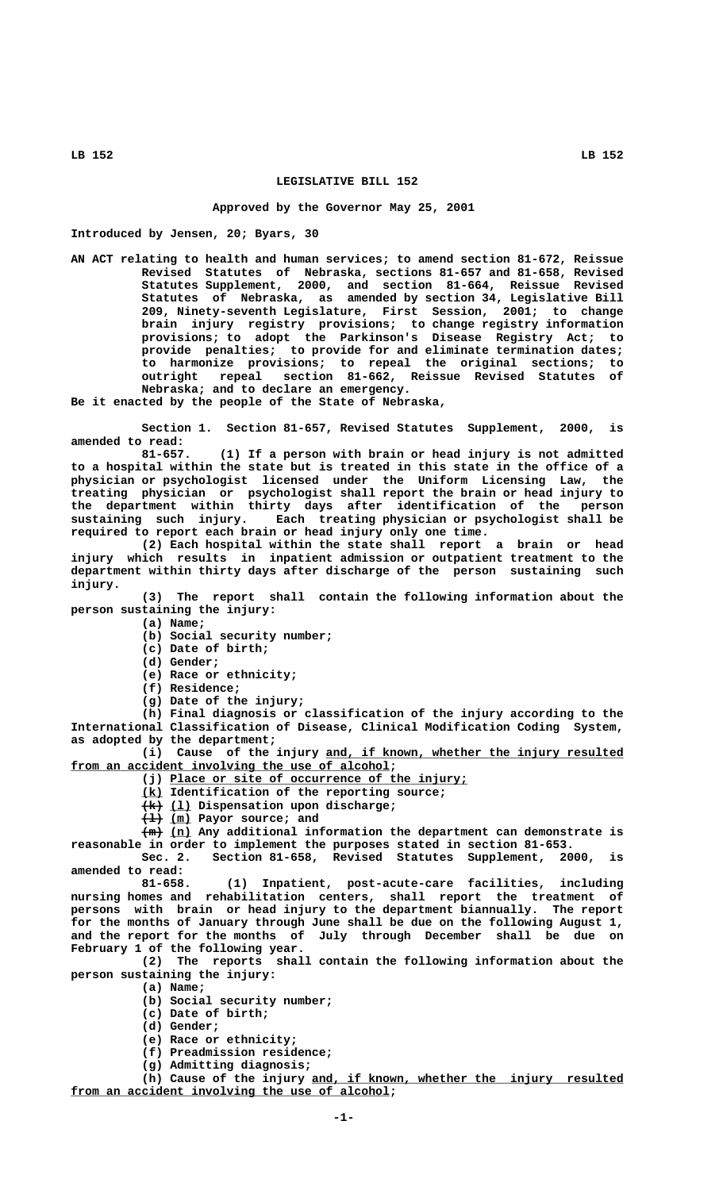## **LEGISLATIVE BILL 152**

## **Approved by the Governor May 25, 2001**

**Introduced by Jensen, 20; Byars, 30**

**AN ACT relating to health and human services; to amend section 81-672, Reissue Revised Statutes of Nebraska, sections 81-657 and 81-658, Revised Statutes Supplement, 2000, and section 81-664, Reissue Revised Statutes of Nebraska, as amended by section 34, Legislative Bill 209, Ninety-seventh Legislature, First Session, 2001; to change brain injury registry provisions; to change registry information provisions; to adopt the Parkinson's Disease Registry Act; to provide penalties; to provide for and eliminate termination dates; to harmonize provisions; to repeal the original sections; to outright repeal section 81-662, Reissue Revised Statutes of Nebraska; and to declare an emergency.**

**Be it enacted by the people of the State of Nebraska,**

**Section 1. Section 81-657, Revised Statutes Supplement, 2000, is amended to read:**

**81-657. (1) If a person with brain or head injury is not admitted to a hospital within the state but is treated in this state in the office of a physician or psychologist licensed under the Uniform Licensing Law, the treating physician or psychologist shall report the brain or head injury to the department within thirty days after identification of the person sustaining such injury. Each treating physician or psychologist shall be required to report each brain or head injury only one time.**

**(2) Each hospital within the state shall report a brain or head injury which results in inpatient admission or outpatient treatment to the department within thirty days after discharge of the person sustaining such injury.**

**(3) The report shall contain the following information about the person sustaining the injury:**

 **(a) Name;**

**(b) Social security number;**

**(c) Date of birth;**

 **(d) Gender;**

**(e) Race or ethnicity;**

 **(f) Residence;**

**(g) Date of the injury;**

**(h) Final diagnosis or classification of the injury according to the International Classification of Disease, Clinical Modification Coding System, as adopted by the department;**

 **\_\_\_\_\_\_\_\_\_\_\_\_\_\_\_\_\_\_\_\_\_\_\_\_\_\_\_\_\_\_\_\_\_\_\_\_\_\_\_\_\_\_ (i) Cause of the injury and, if known, whether the injury resulted** from an accident involving the use of alcohol;

 **\_\_\_\_\_\_\_\_\_\_\_\_\_\_\_\_\_\_\_\_\_\_\_\_\_\_\_\_\_\_\_\_\_\_\_\_\_\_\_\_\_\_ (j) Place or site of occurrence of the injury;**

 **\_\_\_ (k) Identification of the reporting source;**

 $\overline{+k}$  (1) Dispensation upon discharge;

 $\overline{+1}$  (m) Payor source; and

 **——— \_\_\_ (m) (n) Any additional information the department can demonstrate is reasonable in order to implement the purposes stated in section 81-653.**

**Sec. 2. Section 81-658, Revised Statutes Supplement, 2000, is amended to read:**

**81-658. (1) Inpatient, post-acute-care facilities, including nursing homes and rehabilitation centers, shall report the treatment of persons with brain or head injury to the department biannually. The report for the months of January through June shall be due on the following August 1, and the report for the months of July through December shall be due on February 1 of the following year.**

**(2) The reports shall contain the following information about the person sustaining the injury:**

- **(a) Name;**
	- **(b) Social security number;**
	- **(c) Date of birth;**

 **(d) Gender;**

- **(e) Race or ethnicity;**
- **(f) Preadmission residence;**

**(g) Admitting diagnosis;**

 **\_\_\_\_\_\_\_\_\_\_\_\_\_\_\_\_\_\_\_\_\_\_\_\_\_\_\_\_\_\_\_\_\_\_\_\_\_\_\_\_\_\_\_\_ (h) Cause of the injury and, if known, whether the injury resulted** from an accident involving the use of alcohol;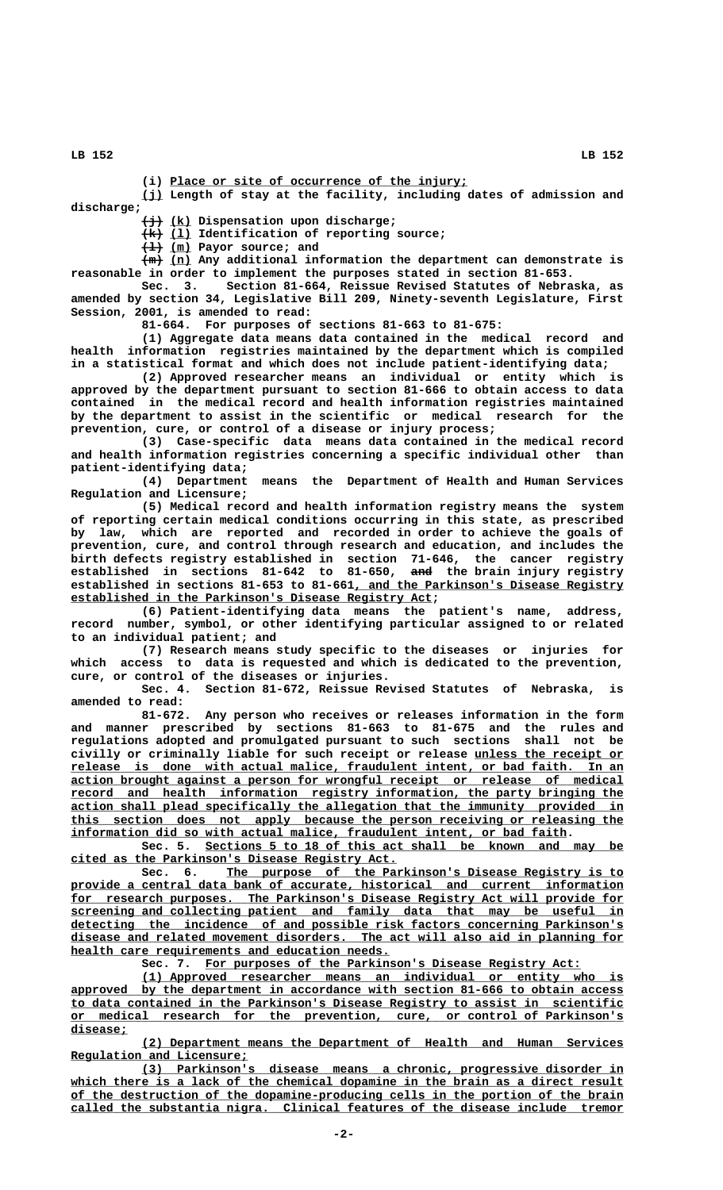**LB 152 LB 152**

(i) Place or site of occurrence of the injury;

 **\_\_\_ (j) Length of stay at the facility, including dates of admission and discharge;**

 **——— \_\_\_ (j) (k) Dispensation upon discharge;**

 $\overline{+k}$  (1) Identification of reporting source;

 $\overline{+1}$  (m) Payor source; and

 $\frac{m}{n}$  (n) Any additional information the department can demonstrate is **reasonable in order to implement the purposes stated in section 81-653.**

**Sec. 3. Section 81-664, Reissue Revised Statutes of Nebraska, as amended by section 34, Legislative Bill 209, Ninety-seventh Legislature, First Session, 2001, is amended to read:**

**81-664. For purposes of sections 81-663 to 81-675:**

**(1) Aggregate data means data contained in the medical record and health information registries maintained by the department which is compiled in a statistical format and which does not include patient-identifying data;**

**(2) Approved researcher means an individual or entity which is approved by the department pursuant to section 81-666 to obtain access to data contained in the medical record and health information registries maintained by the department to assist in the scientific or medical research for the prevention, cure, or control of a disease or injury process;**

**(3) Case-specific data means data contained in the medical record and health information registries concerning a specific individual other than patient-identifying data;**

**(4) Department means the Department of Health and Human Services Regulation and Licensure;**

**(5) Medical record and health information registry means the system of reporting certain medical conditions occurring in this state, as prescribed by law, which are reported and recorded in order to achieve the goals of prevention, cure, and control through research and education, and includes the birth defects registry established in section 71-646, the cancer registry established in sections 81-642 to 81-650, and the brain injury registry ——** established in sections 81-653 to 81-661, and the Parkinson's Disease Registry  **\_\_\_\_\_\_\_\_\_\_\_\_\_\_\_\_\_\_\_\_\_\_\_\_\_\_\_\_\_\_\_\_\_\_\_\_\_\_\_\_\_\_\_\_\_\_\_\_\_\_\_ established in the Parkinson's Disease Registry Act;**

**(6) Patient-identifying data means the patient's name, address, record number, symbol, or other identifying particular assigned to or related to an individual patient; and**

**(7) Research means study specific to the diseases or injuries for which access to data is requested and which is dedicated to the prevention, cure, or control of the diseases or injuries.**

**Sec. 4. Section 81-672, Reissue Revised Statutes of Nebraska, is amended to read:**

**81-672. Any person who receives or releases information in the form and manner prescribed by sections 81-663 to 81-675 and the rules and regulations adopted and promulgated pursuant to such sections shall not be civilly or criminally liable for such receipt or release unless the receipt or \_\_\_\_\_\_\_\_\_\_\_\_\_\_\_\_\_\_\_\_\_ \_\_\_\_\_\_\_\_\_\_\_\_\_\_\_\_\_\_\_\_\_\_\_\_\_\_\_\_\_\_\_\_\_\_\_\_\_\_\_\_\_\_\_\_\_\_\_\_\_\_\_\_\_\_\_\_\_\_\_\_\_\_\_\_\_\_\_\_\_\_\_\_\_\_\_\_\_\_ release is done with actual malice, fraudulent intent, or bad faith. In an \_\_\_\_\_\_\_\_\_\_\_\_\_\_\_\_\_\_\_\_\_\_\_\_\_\_\_\_\_\_\_\_\_\_\_\_\_\_\_\_\_\_\_\_\_\_\_\_\_\_\_\_\_\_\_\_\_\_\_\_\_\_\_\_\_\_\_\_\_\_\_\_\_\_\_\_\_\_ action brought against a person for wrongful receipt or release of medical \_\_\_\_\_\_\_\_\_\_\_\_\_\_\_\_\_\_\_\_\_\_\_\_\_\_\_\_\_\_\_\_\_\_\_\_\_\_\_\_\_\_\_\_\_\_\_\_\_\_\_\_\_\_\_\_\_\_\_\_\_\_\_\_\_\_\_\_\_\_\_\_\_\_\_\_\_\_ record and health information registry information, the party bringing the \_\_\_\_\_\_\_\_\_\_\_\_\_\_\_\_\_\_\_\_\_\_\_\_\_\_\_\_\_\_\_\_\_\_\_\_\_\_\_\_\_\_\_\_\_\_\_\_\_\_\_\_\_\_\_\_\_\_\_\_\_\_\_\_\_\_\_\_\_\_\_\_\_\_\_\_\_\_ action shall plead specifically the allegation that the immunity provided in \_\_\_\_\_\_\_\_\_\_\_\_\_\_\_\_\_\_\_\_\_\_\_\_\_\_\_\_\_\_\_\_\_\_\_\_\_\_\_\_\_\_\_\_\_\_\_\_\_\_\_\_\_\_\_\_\_\_\_\_\_\_\_\_\_\_\_\_\_\_\_\_\_\_\_\_\_\_ this section does not apply because the person receiving or releasing the \_\_\_\_\_\_\_\_\_\_\_\_\_\_\_\_\_\_\_\_\_\_\_\_\_\_\_\_\_\_\_\_\_\_\_\_\_\_\_\_\_\_\_\_\_\_\_\_\_\_\_\_\_\_\_\_\_\_\_\_\_\_\_\_\_\_\_\_\_\_ information did so with actual malice, fraudulent intent, or bad faith.**

Sec. 5. <u>Sections 5 to 18 of this act shall be known and may be</u>  **\_\_\_\_\_\_\_\_\_\_\_\_\_\_\_\_\_\_\_\_\_\_\_\_\_\_\_\_\_\_\_\_\_\_\_\_\_\_\_\_\_\_\_\_\_\_ cited as the Parkinson's Disease Registry Act.**

 **\_\_\_\_\_\_\_\_\_\_\_\_\_\_\_\_\_\_\_\_\_\_\_\_\_\_\_\_\_\_\_\_\_\_\_\_\_\_\_\_\_\_\_\_\_\_\_\_\_\_\_\_\_\_\_\_ Sec. 6. The purpose of the Parkinson's Disease Registry is to** provide a central data bank of accurate, historical and current information  **\_\_\_\_\_\_\_\_\_\_\_\_\_\_\_\_\_\_\_\_\_\_\_\_\_\_\_\_\_\_\_\_\_\_\_\_\_\_\_\_\_\_\_\_\_\_\_\_\_\_\_\_\_\_\_\_\_\_\_\_\_\_\_\_\_\_\_\_\_\_\_\_\_\_\_\_\_\_ for research purposes. The Parkinson's Disease Registry Act will provide for \_\_\_\_\_\_\_\_\_\_\_\_\_\_\_\_\_\_\_\_\_\_\_\_\_\_\_\_\_\_\_\_\_\_\_\_\_\_\_\_\_\_\_\_\_\_\_\_\_\_\_\_\_\_\_\_\_\_\_\_\_\_\_\_\_\_\_\_\_\_\_\_\_\_\_\_\_\_ screening and collecting patient and family data that may be useful in \_\_\_\_\_\_\_\_\_\_\_\_\_\_\_\_\_\_\_\_\_\_\_\_\_\_\_\_\_\_\_\_\_\_\_\_\_\_\_\_\_\_\_\_\_\_\_\_\_\_\_\_\_\_\_\_\_\_\_\_\_\_\_\_\_\_\_\_\_\_\_\_\_\_\_\_\_\_ detecting the incidence of and possible risk factors concerning Parkinson's \_\_\_\_\_\_\_\_\_\_\_\_\_\_\_\_\_\_\_\_\_\_\_\_\_\_\_\_\_\_\_\_\_\_\_\_\_\_\_\_\_\_\_\_\_\_\_\_\_\_\_\_\_\_\_\_\_\_\_\_\_\_\_\_\_\_\_\_\_\_\_\_\_\_\_\_\_\_ disease and related movement disorders. The act will also aid in planning for \_\_\_\_\_\_\_\_\_\_\_\_\_\_\_\_\_\_\_\_\_\_\_\_\_\_\_\_\_\_\_\_\_\_\_\_\_\_\_\_\_\_\_\_\_ health care requirements and education needs.**

Sec. 7. For purposes of the Parkinson's Disease Registry Act:

 **\_\_\_\_\_\_\_\_\_\_\_\_\_\_\_\_\_\_\_\_\_\_\_\_\_\_\_\_\_\_\_\_\_\_\_\_\_\_\_\_\_\_\_\_\_\_\_\_\_\_\_\_\_\_\_\_\_\_\_\_\_\_\_\_\_\_\_\_ (1) Approved researcher means an individual or entity who is \_\_\_\_\_\_\_\_\_\_\_\_\_\_\_\_\_\_\_\_\_\_\_\_\_\_\_\_\_\_\_\_\_\_\_\_\_\_\_\_\_\_\_\_\_\_\_\_\_\_\_\_\_\_\_\_\_\_\_\_\_\_\_\_\_\_\_\_\_\_\_\_\_\_\_\_\_\_ approved by the department in accordance with section 81-666 to obtain access \_\_\_\_\_\_\_\_\_\_\_\_\_\_\_\_\_\_\_\_\_\_\_\_\_\_\_\_\_\_\_\_\_\_\_\_\_\_\_\_\_\_\_\_\_\_\_\_\_\_\_\_\_\_\_\_\_\_\_\_\_\_\_\_\_\_\_\_\_\_\_\_\_\_\_\_\_\_ to data contained in the Parkinson's Disease Registry to assist in scientific \_\_\_\_\_\_\_\_\_\_\_\_\_\_\_\_\_\_\_\_\_\_\_\_\_\_\_\_\_\_\_\_\_\_\_\_\_\_\_\_\_\_\_\_\_\_\_\_\_\_\_\_\_\_\_\_\_\_\_\_\_\_\_\_\_\_\_\_\_\_\_\_\_\_\_\_\_\_ or medical research for the prevention, cure, or control of Parkinson's disease; \_\_\_\_\_\_\_\_**

 **\_\_\_\_\_\_\_\_\_\_\_\_\_\_\_\_\_\_\_\_\_\_\_\_\_\_\_\_\_\_\_\_\_\_\_\_\_\_\_\_\_\_\_\_\_\_\_\_\_\_\_\_\_\_\_\_\_\_\_\_\_\_\_\_\_\_\_\_ (2) Department means the Department of Health and Human Services \_\_\_\_\_\_\_\_\_\_\_\_\_\_\_\_\_\_\_\_\_\_\_\_\_ Regulation and Licensure;**

 **\_\_\_\_\_\_\_\_\_\_\_\_\_\_\_\_\_\_\_\_\_\_\_\_\_\_\_\_\_\_\_\_\_\_\_\_\_\_\_\_\_\_\_\_\_\_\_\_\_\_\_\_\_\_\_\_\_\_\_\_\_\_\_\_\_\_\_\_ (3) Parkinson's disease means a chronic, progressive disorder in** which there is a lack of the chemical dopamine in the brain as a direct result  **\_\_\_\_\_\_\_\_\_\_\_\_\_\_\_\_\_\_\_\_\_\_\_\_\_\_\_\_\_\_\_\_\_\_\_\_\_\_\_\_\_\_\_\_\_\_\_\_\_\_\_\_\_\_\_\_\_\_\_\_\_\_\_\_\_\_\_\_\_\_\_\_\_\_\_\_\_\_ of the destruction of the dopamine-producing cells in the portion of the brain \_\_\_\_\_\_\_\_\_\_\_\_\_\_\_\_\_\_\_\_\_\_\_\_\_\_\_\_\_\_\_\_\_\_\_\_\_\_\_\_\_\_\_\_\_\_\_\_\_\_\_\_\_\_\_\_\_\_\_\_\_\_\_\_\_\_\_\_\_\_\_\_\_\_\_\_\_\_ called the substantia nigra. Clinical features of the disease include tremor**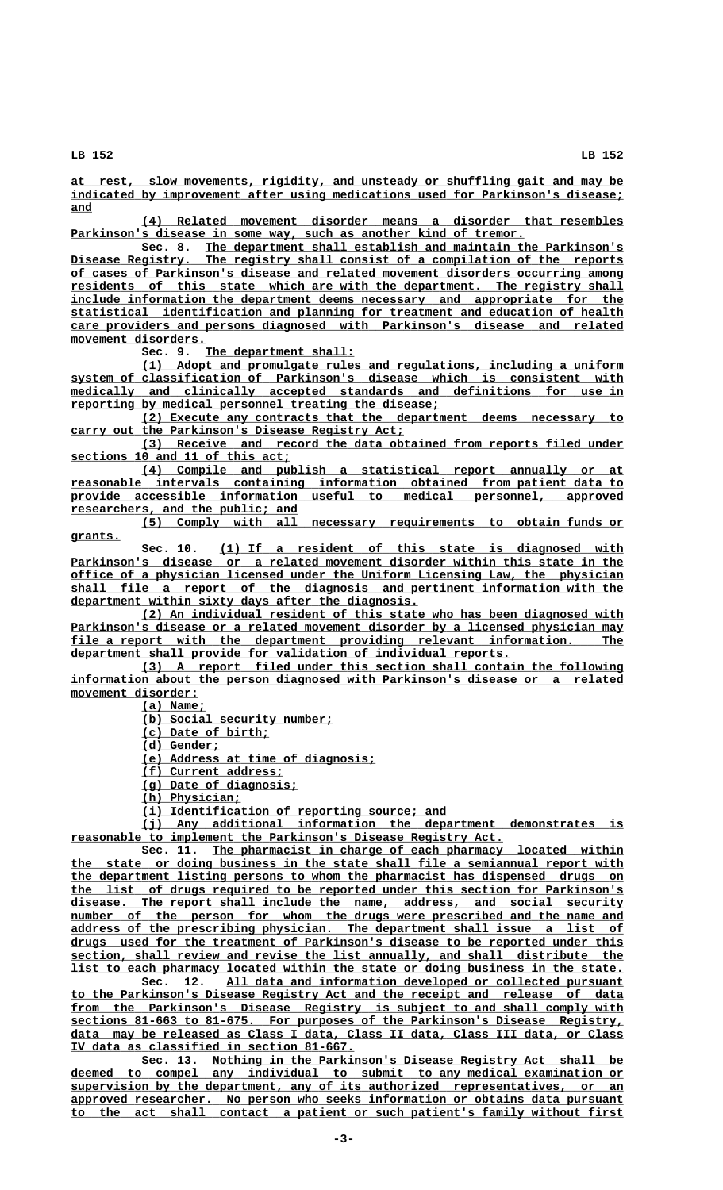**LB 152 LB 152**

 **\_\_\_\_\_\_\_\_\_\_\_\_\_\_\_\_\_\_\_\_\_\_\_\_\_\_\_\_\_\_\_\_\_\_\_\_\_\_\_\_\_\_\_\_\_\_\_\_\_\_\_\_\_\_\_\_\_\_\_\_\_\_\_\_\_\_\_\_\_\_\_\_\_\_\_\_\_\_ at rest, slow movements, rigidity, and unsteady or shuffling gait and may be \_\_\_\_\_\_\_\_\_\_\_\_\_\_\_\_\_\_\_\_\_\_\_\_\_\_\_\_\_\_\_\_\_\_\_\_\_\_\_\_\_\_\_\_\_\_\_\_\_\_\_\_\_\_\_\_\_\_\_\_\_\_\_\_\_\_\_\_\_\_\_\_\_\_\_\_\_\_ indicated by improvement after using medications used for Parkinson's disease; and \_\_\_**

 **\_\_\_\_\_\_\_\_\_\_\_\_\_\_\_\_\_\_\_\_\_\_\_\_\_\_\_\_\_\_\_\_\_\_\_\_\_\_\_\_\_\_\_\_\_\_\_\_\_\_\_\_\_\_\_\_\_\_\_\_\_\_\_\_\_\_\_\_ (4) Related movement disorder means a disorder that resembles** Parkinson's disease in some way, such as another kind of tremor.

 **\_\_\_\_\_\_\_\_\_\_\_\_\_\_\_\_\_\_\_\_\_\_\_\_\_\_\_\_\_\_\_\_\_\_\_\_\_\_\_\_\_\_\_\_\_\_\_\_\_\_\_\_\_\_\_\_\_\_\_ Sec. 8. The department shall establish and maintain the Parkinson's \_\_\_\_\_\_\_\_\_\_\_\_\_\_\_\_\_\_\_\_\_\_\_\_\_\_\_\_\_\_\_\_\_\_\_\_\_\_\_\_\_\_\_\_\_\_\_\_\_\_\_\_\_\_\_\_\_\_\_\_\_\_\_\_\_\_\_\_\_\_\_\_\_\_\_\_\_\_ Disease Registry. The registry shall consist of a compilation of the reports \_\_\_\_\_\_\_\_\_\_\_\_\_\_\_\_\_\_\_\_\_\_\_\_\_\_\_\_\_\_\_\_\_\_\_\_\_\_\_\_\_\_\_\_\_\_\_\_\_\_\_\_\_\_\_\_\_\_\_\_\_\_\_\_\_\_\_\_\_\_\_\_\_\_\_\_\_\_ of cases of Parkinson's disease and related movement disorders occurring among** residents of this state which are with the department. The registry shall  **\_\_\_\_\_\_\_\_\_\_\_\_\_\_\_\_\_\_\_\_\_\_\_\_\_\_\_\_\_\_\_\_\_\_\_\_\_\_\_\_\_\_\_\_\_\_\_\_\_\_\_\_\_\_\_\_\_\_\_\_\_\_\_\_\_\_\_\_\_\_\_\_\_\_\_\_\_\_ include information the department deems necessary and appropriate for the \_\_\_\_\_\_\_\_\_\_\_\_\_\_\_\_\_\_\_\_\_\_\_\_\_\_\_\_\_\_\_\_\_\_\_\_\_\_\_\_\_\_\_\_\_\_\_\_\_\_\_\_\_\_\_\_\_\_\_\_\_\_\_\_\_\_\_\_\_\_\_\_\_\_\_\_\_\_ statistical identification and planning for treatment and education of health \_\_\_\_\_\_\_\_\_\_\_\_\_\_\_\_\_\_\_\_\_\_\_\_\_\_\_\_\_\_\_\_\_\_\_\_\_\_\_\_\_\_\_\_\_\_\_\_\_\_\_\_\_\_\_\_\_\_\_\_\_\_\_\_\_\_\_\_\_\_\_\_\_\_\_\_\_\_ care providers and persons diagnosed with Parkinson's disease and related movement disorders. \_\_\_\_\_\_\_\_\_\_\_\_\_\_\_\_\_\_\_**

Sec. 9. The department shall:

 **\_\_\_\_\_\_\_\_\_\_\_\_\_\_\_\_\_\_\_\_\_\_\_\_\_\_\_\_\_\_\_\_\_\_\_\_\_\_\_\_\_\_\_\_\_\_\_\_\_\_\_\_\_\_\_\_\_\_\_\_\_\_\_\_\_\_\_\_ (1) Adopt and promulgate rules and regulations, including a uniform \_\_\_\_\_\_\_\_\_\_\_\_\_\_\_\_\_\_\_\_\_\_\_\_\_\_\_\_\_\_\_\_\_\_\_\_\_\_\_\_\_\_\_\_\_\_\_\_\_\_\_\_\_\_\_\_\_\_\_\_\_\_\_\_\_\_\_\_\_\_\_\_\_\_\_\_\_\_ system of classification of Parkinson's disease which is consistent with**  $medically and clinically accepted standards and definitions for use in$ </u>  **\_\_\_\_\_\_\_\_\_\_\_\_\_\_\_\_\_\_\_\_\_\_\_\_\_\_\_\_\_\_\_\_\_\_\_\_\_\_\_\_\_\_\_\_\_\_\_\_\_\_\_\_ reporting by medical personnel treating the disease;**

 **\_\_\_\_\_\_\_\_\_\_\_\_\_\_\_\_\_\_\_\_\_\_\_\_\_\_\_\_\_\_\_\_\_\_\_\_\_\_\_\_\_\_\_\_\_\_\_\_\_\_\_\_\_\_\_\_\_\_\_\_\_\_\_\_\_\_\_\_ (2) Execute any contracts that the department deems necessary to \_\_\_\_\_\_\_\_\_\_\_\_\_\_\_\_\_\_\_\_\_\_\_\_\_\_\_\_\_\_\_\_\_\_\_\_\_\_\_\_\_\_\_\_\_\_\_ carry out the Parkinson's Disease Registry Act;**

 **\_\_\_\_\_\_\_\_\_\_\_\_\_\_\_\_\_\_\_\_\_\_\_\_\_\_\_\_\_\_\_\_\_\_\_\_\_\_\_\_\_\_\_\_\_\_\_\_\_\_\_\_\_\_\_\_\_\_\_\_\_\_\_\_\_\_\_\_ (3) Receive and record the data obtained from reports filed under \_\_\_\_\_\_\_\_\_\_\_\_\_\_\_\_\_\_\_\_\_\_\_\_\_\_\_\_\_\_\_ sections 10 and 11 of this act;**

 **\_\_\_\_\_\_\_\_\_\_\_\_\_\_\_\_\_\_\_\_\_\_\_\_\_\_\_\_\_\_\_\_\_\_\_\_\_\_\_\_\_\_\_\_\_\_\_\_\_\_\_\_\_\_\_\_\_\_\_\_\_\_\_\_\_\_\_\_ (4) Compile and publish a statistical report annually or at \_\_\_\_\_\_\_\_\_\_\_\_\_\_\_\_\_\_\_\_\_\_\_\_\_\_\_\_\_\_\_\_\_\_\_\_\_\_\_\_\_\_\_\_\_\_\_\_\_\_\_\_\_\_\_\_\_\_\_\_\_\_\_\_\_\_\_\_\_\_\_\_\_\_\_\_\_\_ reasonable intervals containing information obtained from patient data to \_\_\_\_\_\_\_\_\_\_\_\_\_\_\_\_\_\_\_\_\_\_\_\_\_\_\_\_\_\_\_\_\_\_\_\_\_\_\_\_\_\_\_\_\_\_\_\_\_\_\_\_\_\_\_\_\_\_\_\_\_\_\_\_\_\_\_\_\_\_\_\_\_\_\_\_\_\_ provide accessible information useful to medical personnel, approved \_\_\_\_\_\_\_\_\_\_\_\_\_\_\_\_\_\_\_\_\_\_\_\_\_\_\_\_\_\_\_\_ researchers, and the public; and**

 **\_\_\_\_\_\_\_\_\_\_\_\_\_\_\_\_\_\_\_\_\_\_\_\_\_\_\_\_\_\_\_\_\_\_\_\_\_\_\_\_\_\_\_\_\_\_\_\_\_\_\_\_\_\_\_\_\_\_\_\_\_\_\_\_\_\_\_\_ (5) Comply with all necessary requirements to obtain funds or grants. \_\_\_\_\_\_\_**

 **\_\_\_\_\_\_\_\_\_\_\_\_\_\_\_\_\_\_\_\_\_\_\_\_\_\_\_\_\_\_\_\_\_\_\_\_\_\_\_\_\_\_\_\_\_\_\_\_\_\_\_\_\_\_\_\_\_ Sec. 10. (1) If a resident of this state is diagnosed with** Parkinson's disease or a related movement disorder within this state in the  **\_\_\_\_\_\_\_\_\_\_\_\_\_\_\_\_\_\_\_\_\_\_\_\_\_\_\_\_\_\_\_\_\_\_\_\_\_\_\_\_\_\_\_\_\_\_\_\_\_\_\_\_\_\_\_\_\_\_\_\_\_\_\_\_\_\_\_\_\_\_\_\_\_\_\_\_\_\_ office of a physician licensed under the Uniform Licensing Law, the physician \_\_\_\_\_\_\_\_\_\_\_\_\_\_\_\_\_\_\_\_\_\_\_\_\_\_\_\_\_\_\_\_\_\_\_\_\_\_\_\_\_\_\_\_\_\_\_\_\_\_\_\_\_\_\_\_\_\_\_\_\_\_\_\_\_\_\_\_\_\_\_\_\_\_\_\_\_\_ shall file a report of the diagnosis and pertinent information with the \_\_\_\_\_\_\_\_\_\_\_\_\_\_\_\_\_\_\_\_\_\_\_\_\_\_\_\_\_\_\_\_\_\_\_\_\_\_\_\_\_\_\_\_\_\_\_\_\_ department within sixty days after the diagnosis.**

 **\_\_\_\_\_\_\_\_\_\_\_\_\_\_\_\_\_\_\_\_\_\_\_\_\_\_\_\_\_\_\_\_\_\_\_\_\_\_\_\_\_\_\_\_\_\_\_\_\_\_\_\_\_\_\_\_\_\_\_\_\_\_\_\_\_\_\_\_ (2) An individual resident of this state who has been diagnosed with** Parkinson's disease or a related movement disorder by a licensed physician may  **\_\_\_\_\_\_\_\_\_\_\_\_\_\_\_\_\_\_\_\_\_\_\_\_\_\_\_\_\_\_\_\_\_\_\_\_\_\_\_\_\_\_\_\_\_\_\_\_\_\_\_\_\_\_\_\_\_\_\_\_\_\_\_\_\_\_\_\_\_\_\_\_\_\_\_\_\_\_ file a report with the department providing relevant information. The \_\_\_\_\_\_\_\_\_\_\_\_\_\_\_\_\_\_\_\_\_\_\_\_\_\_\_\_\_\_\_\_\_\_\_\_\_\_\_\_\_\_\_\_\_\_\_\_\_\_\_\_\_\_\_\_\_\_\_\_\_\_ department shall provide for validation of individual reports.**

 **\_\_\_\_\_\_\_\_\_\_\_\_\_\_\_\_\_\_\_\_\_\_\_\_\_\_\_\_\_\_\_\_\_\_\_\_\_\_\_\_\_\_\_\_\_\_\_\_\_\_\_\_\_\_\_\_\_\_\_\_\_\_\_\_\_\_\_\_ (3) A report filed under this section shall contain the following \_\_\_\_\_\_\_\_\_\_\_\_\_\_\_\_\_\_\_\_\_\_\_\_\_\_\_\_\_\_\_\_\_\_\_\_\_\_\_\_\_\_\_\_\_\_\_\_\_\_\_\_\_\_\_\_\_\_\_\_\_\_\_\_\_\_\_\_\_\_\_\_\_\_\_\_\_\_ information about the person diagnosed with Parkinson's disease or a related**  $movement$  disorder:

 **(a) Name; \_\_\_\_\_\_\_\_\_**

 **\_\_\_\_\_\_\_\_\_\_\_\_\_\_\_\_\_\_\_\_\_\_\_\_\_\_\_ (b) Social security number;**

 **\_\_\_\_\_\_\_\_\_\_\_\_\_\_\_\_\_\_ (c) Date of birth;**

 **(d) Gender; \_\_\_\_\_\_\_\_\_\_\_**

 **\_\_\_\_\_\_\_\_\_\_\_\_\_\_\_\_\_\_\_\_\_\_\_\_\_\_\_\_\_\_\_\_\_ (e) Address at time of diagnosis;**

 **\_\_\_\_\_\_\_\_\_\_\_\_\_\_\_\_\_\_\_\_ (f) Current address;**

 **\_\_\_\_\_\_\_\_\_\_\_\_\_\_\_\_\_\_\_\_\_\_ (g) Date of diagnosis;**

 **(h) Physician; \_\_\_\_\_\_\_\_\_\_\_\_\_\_**

 **\_\_\_\_\_\_\_\_\_\_\_\_\_\_\_\_\_\_\_\_\_\_\_\_\_\_\_\_\_\_\_\_\_\_\_\_\_\_\_\_\_\_\_ (i) Identification of reporting source; and**

 **\_\_\_\_\_\_\_\_\_\_\_\_\_\_\_\_\_\_\_\_\_\_\_\_\_\_\_\_\_\_\_\_\_\_\_\_\_\_\_\_\_\_\_\_\_\_\_\_\_\_\_\_\_\_\_\_\_\_\_\_\_\_\_\_\_\_\_\_ (j) Any additional information the department demonstrates is \_\_\_\_\_\_\_\_\_\_\_\_\_\_\_\_\_\_\_\_\_\_\_\_\_\_\_\_\_\_\_\_\_\_\_\_\_\_\_\_\_\_\_\_\_\_\_\_\_\_\_\_\_\_\_\_\_\_\_\_\_ reasonable to implement the Parkinson's Disease Registry Act.**

 **\_\_\_\_\_\_\_\_\_\_\_\_\_\_\_\_\_\_\_\_\_\_\_\_\_\_\_\_\_\_\_\_\_\_\_\_\_\_\_\_\_\_\_\_\_\_\_\_\_\_\_\_\_\_\_\_\_\_ Sec. 11. The pharmacist in charge of each pharmacy located within \_\_\_\_\_\_\_\_\_\_\_\_\_\_\_\_\_\_\_\_\_\_\_\_\_\_\_\_\_\_\_\_\_\_\_\_\_\_\_\_\_\_\_\_\_\_\_\_\_\_\_\_\_\_\_\_\_\_\_\_\_\_\_\_\_\_\_\_\_\_\_\_\_\_\_\_\_\_ the state or doing business in the state shall file a semiannual report with \_\_\_\_\_\_\_\_\_\_\_\_\_\_\_\_\_\_\_\_\_\_\_\_\_\_\_\_\_\_\_\_\_\_\_\_\_\_\_\_\_\_\_\_\_\_\_\_\_\_\_\_\_\_\_\_\_\_\_\_\_\_\_\_\_\_\_\_\_\_\_\_\_\_\_\_\_\_ the department listing persons to whom the pharmacist has dispensed drugs on \_\_\_\_\_\_\_\_\_\_\_\_\_\_\_\_\_\_\_\_\_\_\_\_\_\_\_\_\_\_\_\_\_\_\_\_\_\_\_\_\_\_\_\_\_\_\_\_\_\_\_\_\_\_\_\_\_\_\_\_\_\_\_\_\_\_\_\_\_\_\_\_\_\_\_\_\_\_ the list of drugs required to be reported under this section for Parkinson's \_\_\_\_\_\_\_\_\_\_\_\_\_\_\_\_\_\_\_\_\_\_\_\_\_\_\_\_\_\_\_\_\_\_\_\_\_\_\_\_\_\_\_\_\_\_\_\_\_\_\_\_\_\_\_\_\_\_\_\_\_\_\_\_\_\_\_\_\_\_\_\_\_\_\_\_\_\_ disease. The report shall include the name, address, and social security** number of the person for whom the drugs were prescribed and the name and  **\_\_\_\_\_\_\_\_\_\_\_\_\_\_\_\_\_\_\_\_\_\_\_\_\_\_\_\_\_\_\_\_\_\_\_\_\_\_\_\_\_\_\_\_\_\_\_\_\_\_\_\_\_\_\_\_\_\_\_\_\_\_\_\_\_\_\_\_\_\_\_\_\_\_\_\_\_\_ address of the prescribing physician. The department shall issue a list of \_\_\_\_\_\_\_\_\_\_\_\_\_\_\_\_\_\_\_\_\_\_\_\_\_\_\_\_\_\_\_\_\_\_\_\_\_\_\_\_\_\_\_\_\_\_\_\_\_\_\_\_\_\_\_\_\_\_\_\_\_\_\_\_\_\_\_\_\_\_\_\_\_\_\_\_\_\_ drugs used for the treatment of Parkinson's disease to be reported under this \_\_\_\_\_\_\_\_\_\_\_\_\_\_\_\_\_\_\_\_\_\_\_\_\_\_\_\_\_\_\_\_\_\_\_\_\_\_\_\_\_\_\_\_\_\_\_\_\_\_\_\_\_\_\_\_\_\_\_\_\_\_\_\_\_\_\_\_\_\_\_\_\_\_\_\_\_\_ section, shall review and revise the list annually, and shall distribute the \_\_\_\_\_\_\_\_\_\_\_\_\_\_\_\_\_\_\_\_\_\_\_\_\_\_\_\_\_\_\_\_\_\_\_\_\_\_\_\_\_\_\_\_\_\_\_\_\_\_\_\_\_\_\_\_\_\_\_\_\_\_\_\_\_\_\_\_\_\_\_\_\_\_\_\_\_\_ list to each pharmacy located within the state or doing business in the state.**

 **\_\_\_\_\_\_\_\_\_\_\_\_\_\_\_\_\_\_\_\_\_\_\_\_\_\_\_\_\_\_\_\_\_\_\_\_\_\_\_\_\_\_\_\_\_\_\_\_\_\_\_\_\_\_\_\_ Sec. 12. All data and information developed or collected pursuant \_\_\_\_\_\_\_\_\_\_\_\_\_\_\_\_\_\_\_\_\_\_\_\_\_\_\_\_\_\_\_\_\_\_\_\_\_\_\_\_\_\_\_\_\_\_\_\_\_\_\_\_\_\_\_\_\_\_\_\_\_\_\_\_\_\_\_\_\_\_\_\_\_\_\_\_\_\_ to the Parkinson's Disease Registry Act and the receipt and release of data \_\_\_\_\_\_\_\_\_\_\_\_\_\_\_\_\_\_\_\_\_\_\_\_\_\_\_\_\_\_\_\_\_\_\_\_\_\_\_\_\_\_\_\_\_\_\_\_\_\_\_\_\_\_\_\_\_\_\_\_\_\_\_\_\_\_\_\_\_\_\_\_\_\_\_\_\_\_ from the Parkinson's Disease Registry is subject to and shall comply with \_\_\_\_\_\_\_\_\_\_\_\_\_\_\_\_\_\_\_\_\_\_\_\_\_\_\_\_\_\_\_\_\_\_\_\_\_\_\_\_\_\_\_\_\_\_\_\_\_\_\_\_\_\_\_\_\_\_\_\_\_\_\_\_\_\_\_\_\_\_\_\_\_\_\_\_\_\_ sections 81-663 to 81-675. For purposes of the Parkinson's Disease Registry, \_\_\_\_\_\_\_\_\_\_\_\_\_\_\_\_\_\_\_\_\_\_\_\_\_\_\_\_\_\_\_\_\_\_\_\_\_\_\_\_\_\_\_\_\_\_\_\_\_\_\_\_\_\_\_\_\_\_\_\_\_\_\_\_\_\_\_\_\_\_\_\_\_\_\_\_\_\_ data may be released as Class I data, Class II data, Class III data, or Class \_\_\_\_\_\_\_\_\_\_\_\_\_\_\_\_\_\_\_\_\_\_\_\_\_\_\_\_\_\_\_\_\_\_\_\_\_\_\_\_ IV data as classified in section 81-667.**

Sec. 13. Nothing in the Parkinson's Disease Registry Act shall be  **\_\_\_\_\_\_\_\_\_\_\_\_\_\_\_\_\_\_\_\_\_\_\_\_\_\_\_\_\_\_\_\_\_\_\_\_\_\_\_\_\_\_\_\_\_\_\_\_\_\_\_\_\_\_\_\_\_\_\_\_\_\_\_\_\_\_\_\_\_\_\_\_\_\_\_\_\_\_ deemed to compel any individual to submit to any medical examination or \_\_\_\_\_\_\_\_\_\_\_\_\_\_\_\_\_\_\_\_\_\_\_\_\_\_\_\_\_\_\_\_\_\_\_\_\_\_\_\_\_\_\_\_\_\_\_\_\_\_\_\_\_\_\_\_\_\_\_\_\_\_\_\_\_\_\_\_\_\_\_\_\_\_\_\_\_\_ supervision by the department, any of its authorized representatives, or an \_\_\_\_\_\_\_\_\_\_\_\_\_\_\_\_\_\_\_\_\_\_\_\_\_\_\_\_\_\_\_\_\_\_\_\_\_\_\_\_\_\_\_\_\_\_\_\_\_\_\_\_\_\_\_\_\_\_\_\_\_\_\_\_\_\_\_\_\_\_\_\_\_\_\_\_\_\_ approved researcher. No person who seeks information or obtains data pursuant \_\_\_\_\_\_\_\_\_\_\_\_\_\_\_\_\_\_\_\_\_\_\_\_\_\_\_\_\_\_\_\_\_\_\_\_\_\_\_\_\_\_\_\_\_\_\_\_\_\_\_\_\_\_\_\_\_\_\_\_\_\_\_\_\_\_\_\_\_\_\_\_\_\_\_\_\_\_ to the act shall contact a patient or such patient's family without first**